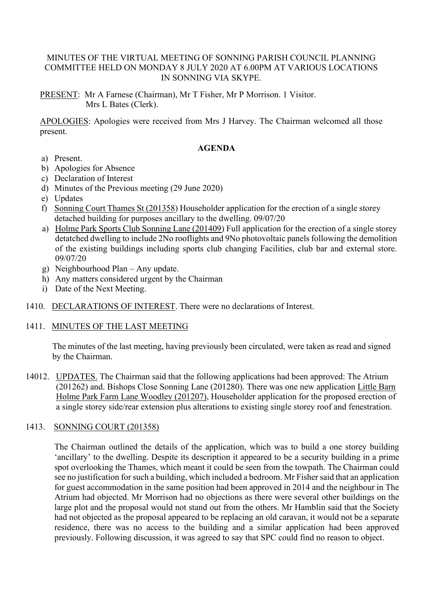### MINUTES OF THE VIRTUAL MEETING OF SONNING PARISH COUNCIL PLANNING COMMITTEE HELD ON MONDAY 8 JULY 2020 AT 6.00PM AT VARIOUS LOCATIONS IN SONNING VIA SKYPE.

PRESENT: Mr A Farnese (Chairman), Mr T Fisher, Mr P Morrison. 1 Visitor. Mrs L Bates (Clerk).

APOLOGIES: Apologies were received from Mrs J Harvey. The Chairman welcomed all those present.

#### **AGENDA**

- a) Present.
- b) Apologies for Absence
- c) Declaration of Interest
- d) Minutes of the Previous meeting (29 June 2020)
- e) Updates
- f) Sonning Court Thames St (201358) Householder application for the erection of a single storey detached building for purposes ancillary to the dwelling. 09/07/20
- a) Holme Park Sports Club Sonning Lane (201409) Full application for the erection of a single storey detatched dwelling to include 2No rooflights and 9No photovoltaic panels following the demolition of the existing buildings including sports club changing Facilities, club bar and external store. 09/07/20
- g) Neighbourhood Plan Any update.
- h) Any matters considered urgent by the Chairman
- i) Date of the Next Meeting.
- 1410. DECLARATIONS OF INTEREST. There were no declarations of Interest.

# 1411. MINUTES OF THE LAST MEETING

The minutes of the last meeting, having previously been circulated, were taken as read and signed by the Chairman.

14012. UPDATES. The Chairman said that the following applications had been approved: The Atrium (201262) and. Bishops Close Sonning Lane (201280). There was one new application Little Barn Holme Park Farm Lane Woodley (201207), Householder application for the proposed erection of a single storey side/rear extension plus alterations to existing single storey roof and fenestration.

# 1413. SONNING COURT (201358)

The Chairman outlined the details of the application, which was to build a one storey building 'ancillary' to the dwelling. Despite its description it appeared to be a security building in a prime spot overlooking the Thames, which meant it could be seen from the towpath. The Chairman could see no justification for such a building, which included a bedroom. Mr Fisher said that an application for guest accommodation in the same position had been approved in 2014 and the neighbour in The Atrium had objected. Mr Morrison had no objections as there were several other buildings on the large plot and the proposal would not stand out from the others. Mr Hamblin said that the Society had not objected as the proposal appeared to be replacing an old caravan, it would not be a separate residence, there was no access to the building and a similar application had been approved previously. Following discussion, it was agreed to say that SPC could find no reason to object.